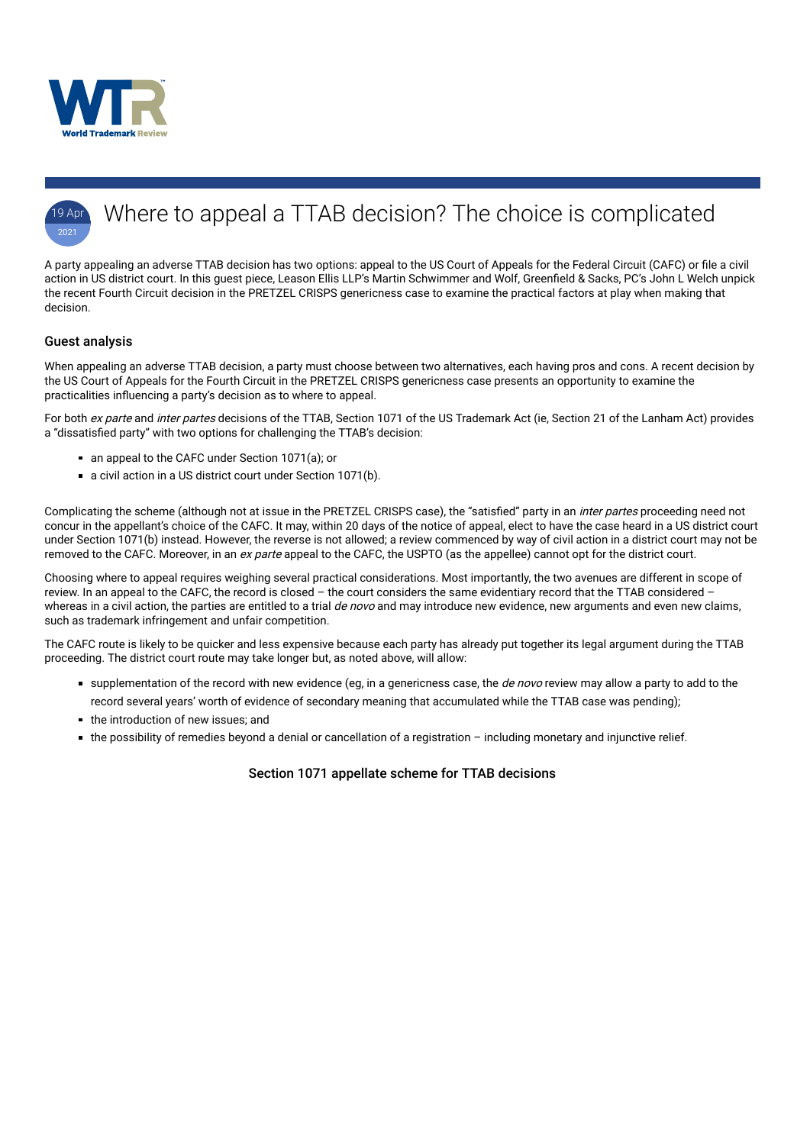



# Where to appeal a TTAB decision? The choice is complicated

A party appealing an adverse TTAB decision has two options: appeal to the US Court of Appeals for the Federal Circuit (CAFC) or file a civil action in US district court. In this guest piece, Leason Ellis LLP's Martin Schwimmer and Wolf, Greenfield & Sacks, PC's John L Welch unpick the recent Fourth Circuit decision in the PRETZEL CRISPS genericness case to examine the practical factors at play when making that decision.

When appealing an adverse TTAB decision, a party must choose between two alternatives, each having pros and cons. A recent decision by the US Court of Appeals for the Fourth Circuit in the PRETZEL CRISPS genericness case presents an opportunity to examine the practicalities influencing a party's decision as to where to appeal.

For both ex parte and inter partes decisions of the TTAB, Section 1071 of the US Trademark Act (ie, Section 21 of the Lanham Act) provides a "dissatisfied party" with two options for challenging the TTAB's decision:

- an appeal to the CAFC under Section 1071(a); or
- a civil action in a US district court under Section 1071(b).

Complicating the scheme (although not at issue in the PRETZEL CRISPS case), the "satisfied" party in an *inter partes* proceeding need not concur in the appellant's choice of the CAFC. It may, within 20 days of the notice of appeal, elect to have the case heard in a US district court under Section 1071(b) instead. However, the reverse is not allowed; a review commenced by way of civil action in a district court may not be removed to the CAFC. Moreover, in an ex parte appeal to the CAFC, the USPTO (as the appellee) cannot opt for the district court.

## Guest analysis

- supplementation of the record with new evidence (eg, in a genericness case, the *de novo* review may allow a party to add to the record several years' worth of evidence of secondary meaning that accumulated while the TTAB case was pending);
- $\blacksquare$  the introduction of new issues; and
- the possibility of remedies beyond a denial or cancellation of a registration including monetary and injunctive relief.

Choosing where to appeal requires weighing several practical considerations. Most importantly, the two avenues are different in scope of review. In an appeal to the CAFC, the record is closed – the court considers the same evidentiary record that the TTAB considered – whereas in a civil action, the parties are entitled to a trial *de novo* and may introduce new evidence, new arguments and even new claims, such as trademark infringement and unfair competition.

The CAFC route is likely to be quicker and less expensive because each party has already put together its legal argument during the TTAB proceeding. The district court route may take longer but, as noted above, will allow:

## Section 1071 appellate scheme for TTAB decisions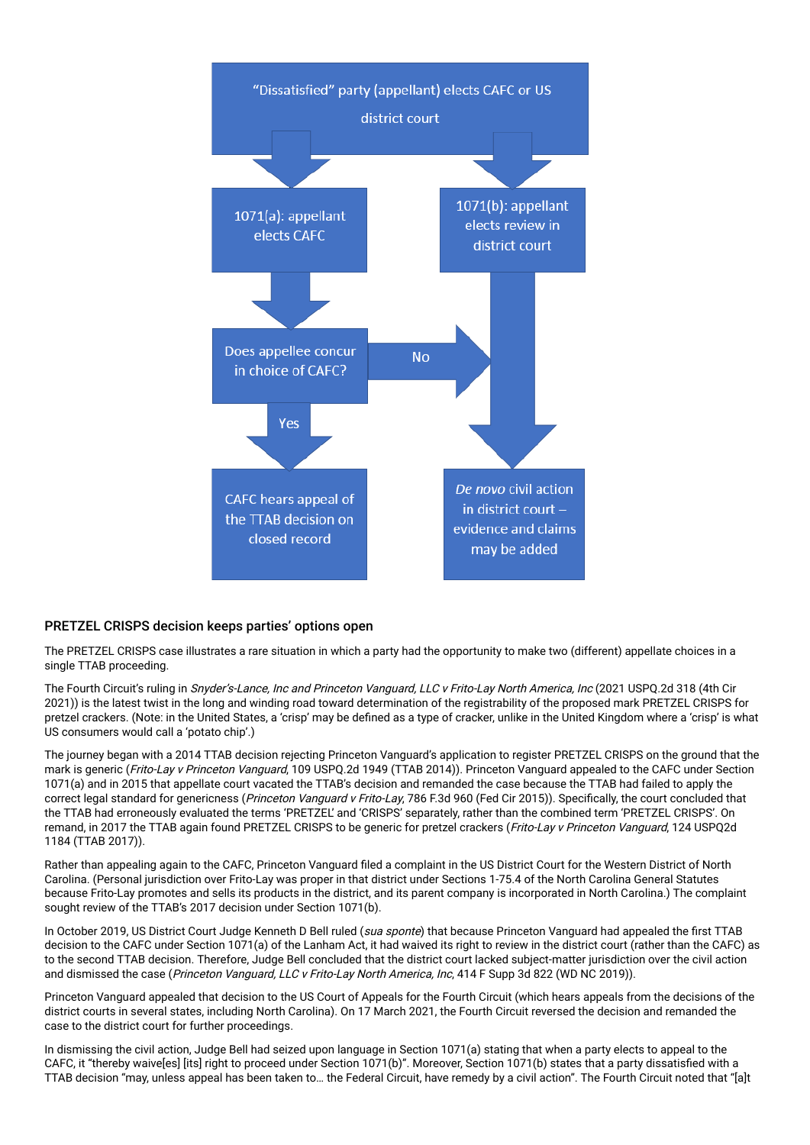

#### PRETZEL CRISPS decision keeps parties' options open

The PRETZEL CRISPS case illustrates a rare situation in which a party had the opportunity to make two (different) appellate choices in a single TTAB proceeding.

The Fourth Circuit's ruling in Snyder's-Lance, Inc and Princeton Vanguard, LLC v Frito-Lay North America, Inc (2021 USPQ.2d 318 (4th Cir 2021)) is the latest twist in the long and winding road toward determination of the registrability of the proposed mark PRETZEL CRISPS for pretzel crackers. (Note: in the United States, a 'crisp' may be defined as a type of cracker, unlike in the United Kingdom where a 'crisp' is what US consumers would call a 'potato chip'.)

Rather than appealing again to the CAFC, Princeton Vanguard filed a complaint in the US District Court for the Western District of North Carolina. (Personal jurisdiction over Frito-Lay was proper in that district under Sections 1-75.4 of the North Carolina General Statutes because Frito-Lay promotes and sells its products in the district, and its parent company is incorporated in North Carolina.) The complaint sought review of the TTAB's 2017 decision under Section 1071(b).

In October 2019, US District Court Judge Kenneth D Bell ruled (sua sponte) that because Princeton Vanguard had appealed the first TTAB decision to the CAFC under Section 1071(a) of the Lanham Act, it had waived its right to review in the district court (rather than the CAFC) as to the second TTAB decision. Therefore, Judge Bell concluded that the district court lacked subject-matter jurisdiction over the civil action and dismissed the case (Princeton Vanguard, LLC v Frito-Lay North America, Inc, 414 F Supp 3d 822 (WD NC 2019)).

The journey began with a 2014 TTAB decision rejecting Princeton Vanguard's application to register PRETZEL CRISPS on the ground that the mark is generic (Frito-Lay v Princeton Vanguard, 109 USPQ.2d 1949 (TTAB 2014)). Princeton Vanguard appealed to the CAFC under Section 1071(a) and in 2015 that appellate court vacated the TTAB's decision and remanded the case because the TTAB had failed to apply the correct legal standard for genericness (Princeton Vanguard v Frito-Lay, 786 F.3d 960 (Fed Cir 2015)). Specifically, the court concluded that the TTAB had erroneously evaluated the terms 'PRETZEL' and 'CRISPS' separately, rather than the combined term 'PRETZEL CRISPS'. On remand, in 2017 the TTAB again found PRETZEL CRISPS to be generic for pretzel crackers (Frito-Lay v Princeton Vanguard, 124 USPQ2d 1184 (TTAB 2017)).

Princeton Vanguard appealed that decision to the US Court of Appeals for the Fourth Circuit (which hears appeals from the decisions of the district courts in several states, including North Carolina). On 17 March 2021, the Fourth Circuit reversed the decision and remanded the case to the district court for further proceedings.

In dismissing the civil action, Judge Bell had seized upon language in Section 1071(a) stating that when a party elects to appeal to the CAFC, it "thereby waive[es] [its] right to proceed under Section 1071(b)". Moreover, Section 1071(b) states that a party dissatisfied with a TTAB decision "may, unless appeal has been taken to… the Federal Circuit, have remedy by a civil action". The Fourth Circuit noted that "[a]t